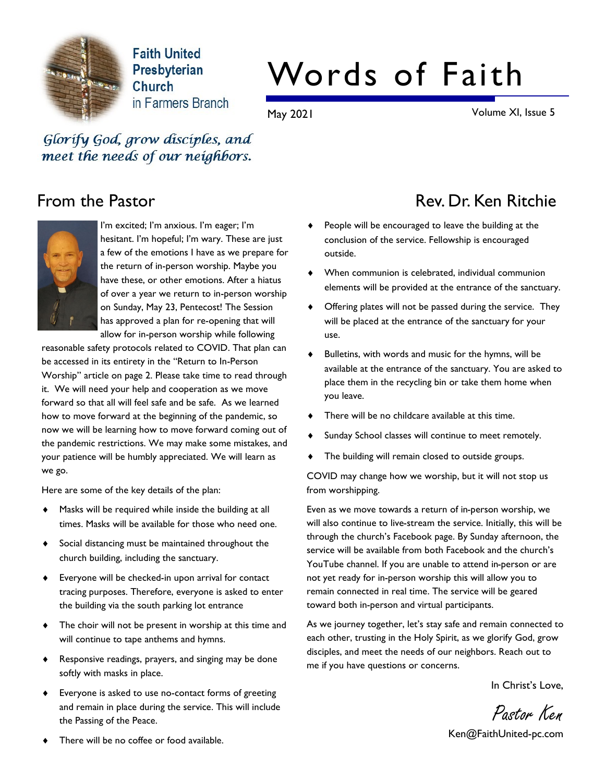

**Faith United** Presbyterian Church in Farmers Branch

# Words of Faith

May 2021 Volume XI, Issue 5

Glorify God, grow disciples, and meet the needs of our neighbors.



I'm excited; I'm anxious. I'm eager; I'm hesitant. I'm hopeful; I'm wary. These are just a few of the emotions I have as we prepare for the return of in-person worship. Maybe you have these, or other emotions. After a hiatus of over a year we return to in-person worship on Sunday, May 23, Pentecost! The Session has approved a plan for re-opening that will allow for in-person worship while following

reasonable safety protocols related to COVID. That plan can be accessed in its entirety in the "Return to In-Person Worship" article on page 2. Please take time to read through it. We will need your help and cooperation as we move forward so that all will feel safe and be safe. As we learned how to move forward at the beginning of the pandemic, so now we will be learning how to move forward coming out of the pandemic restrictions. We may make some mistakes, and your patience will be humbly appreciated. We will learn as we go.

Here are some of the key details of the plan:

- Masks will be required while inside the building at all times. Masks will be available for those who need one.
- Social distancing must be maintained throughout the church building, including the sanctuary.
- $\bullet$  Everyone will be checked-in upon arrival for contact tracing purposes. Therefore, everyone is asked to enter the building via the south parking lot entrance
- $\bullet$  The choir will not be present in worship at this time and will continue to tape anthems and hymns.
- ◆ Responsive readings, prayers, and singing may be done softly with masks in place.
- ◆ Everyone is asked to use no-contact forms of greeting and remain in place during the service. This will include the Passing of the Peace.

# From the Pastor **Rev. Dr. Ken Ritchie** Rev. Dr. Ken Ritchie

- People will be encouraged to leave the building at the conclusion of the service. Fellowship is encouraged outside.
- $\blacklozenge$  When communion is celebrated, individual communion elements will be provided at the entrance of the sanctuary.
- Offering plates will not be passed during the service. They will be placed at the entrance of the sanctuary for your use.
- Bulletins, with words and music for the hymns, will be available at the entrance of the sanctuary. You are asked to place them in the recycling bin or take them home when you leave.
- There will be no childcare available at this time.
- Sunday School classes will continue to meet remotely.
- The building will remain closed to outside groups.

COVID may change how we worship, but it will not stop us from worshipping.

Even as we move towards a return of in-person worship, we will also continue to live-stream the service. Initially, this will be through the church's Facebook page. By Sunday afternoon, the service will be available from both Facebook and the church's YouTube channel. If you are unable to attend in-person or are not yet ready for in-person worship this will allow you to remain connected in real time. The service will be geared toward both in-person and virtual participants.

As we journey together, let's stay safe and remain connected to each other, trusting in the Holy Spirit, as we glorify God, grow disciples, and meet the needs of our neighbors. Reach out to me if you have questions or concerns.

In Christ's Love,

Pastor Ken

Ken@FaithUnited-pc.com

There will be no coffee or food available.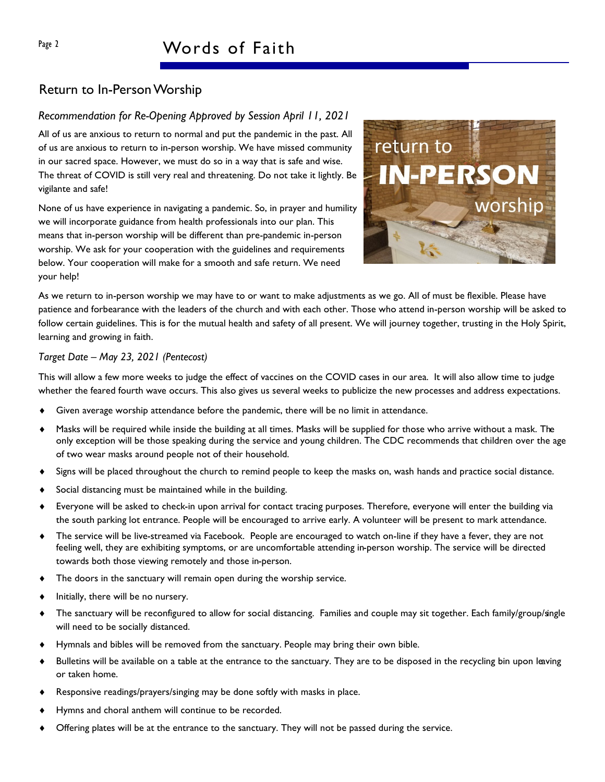#### Return to In-Person Worship

#### Recommendation for Re-Opening Approved by Session April 11, 2021

All of us are anxious to return to normal and put the pandemic in the past. All of us are anxious to return to in-person worship. We have missed community in our sacred space. However, we must do so in a way that is safe and wise. The threat of COVID is still very real and threatening. Do not take it lightly. Be vigilante and safe!

None of us have experience in navigating a pandemic. So, in prayer and humility we will incorporate guidance from health professionals into our plan. This means that in-person worship will be different than pre-pandemic in-person worship. We ask for your cooperation with the guidelines and requirements below. Your cooperation will make for a smooth and safe return. We need your help!



As we return to in-person worship we may have to or want to make adjustments as we go. All of must be flexible. Please have patience and forbearance with the leaders of the church and with each other. Those who attend in-person worship will be asked to follow certain guidelines. This is for the mutual health and safety of all present. We will journey together, trusting in the Holy Spirit, learning and growing in faith.

#### Target Date – May 23, 2021 (Pentecost)

This will allow a few more weeks to judge the effect of vaccines on the COVID cases in our area. It will also allow time to judge whether the feared fourth wave occurs. This also gives us several weeks to publicize the new processes and address expectations.

- Given average worship attendance before the pandemic, there will be no limit in attendance.
- Masks will be required while inside the building at all times. Masks will be supplied for those who arrive without a mask. The only exception will be those speaking during the service and young children. The CDC recommends that children over the age of two wear masks around people not of their household.
- Signs will be placed throughout the church to remind people to keep the masks on, wash hands and practice social distance.
- Social distancing must be maintained while in the building.
- ¨ Everyone will be asked to check-in upon arrival for contact tracing purposes. Therefore, everyone will enter the building via the south parking lot entrance. People will be encouraged to arrive early. A volunteer will be present to mark attendance.
- The service will be live-streamed via Facebook. People are encouraged to watch on-line if they have a fever, they are not feeling well, they are exhibiting symptoms, or are uncomfortable attending in-person worship. The service will be directed towards both those viewing remotely and those in-person.
- The doors in the sanctuary will remain open during the worship service.
- Initially, there will be no nursery.
- ◆ The sanctuary will be reconfigured to allow for social distancing. Families and couple may sit together. Each family/group/single will need to be socially distanced.
- Hymnals and bibles will be removed from the sanctuary. People may bring their own bible.
- Bulletins will be available on a table at the entrance to the sanctuary. They are to be disposed in the recycling bin upon leaving or taken home.
- Responsive readings/prayers/singing may be done softly with masks in place.
- Hymns and choral anthem will continue to be recorded.
- Offering plates will be at the entrance to the sanctuary. They will not be passed during the service.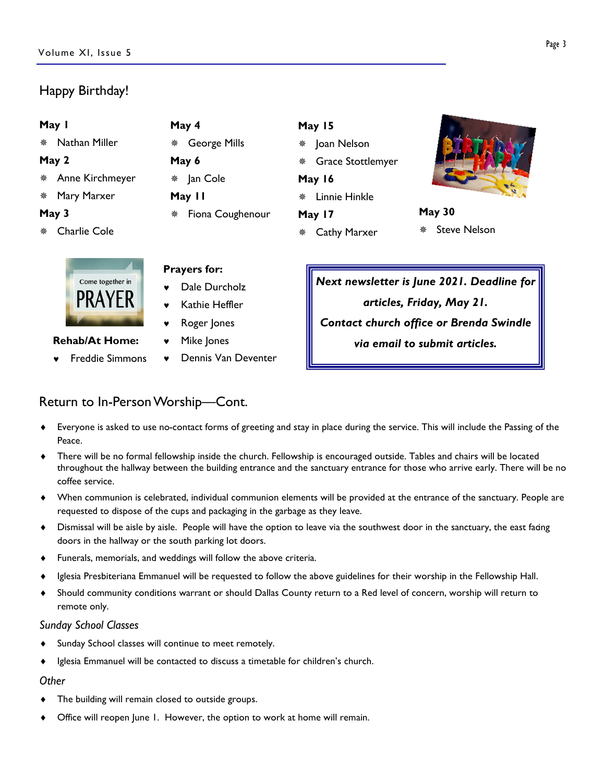### Happy Birthday!

| May I                     | May 4                    | May 15                   |                          |
|---------------------------|--------------------------|--------------------------|--------------------------|
| Nathan Miller<br>※        | <b>George Mills</b><br>楽 | Joan Nelson<br>楽         |                          |
| May 2                     | May 6                    | <b>Grace Stottlemyer</b> |                          |
| * Anne Kirchmeyer         | Jan Cole<br>₩            | May 16                   |                          |
| * Mary Marxer             | May II                   | Linnie Hinkle<br>楽       |                          |
| May 3                     | Fiona Coughenour<br>楽    | May 17                   | <b>May 30</b>            |
| <b>Charlie Cole</b><br>** |                          | <b>Cathy Marxer</b>      | <b>Steve Nelson</b><br>豢 |
|                           | <b>Prayers for:</b>      |                          |                          |



Rehab/At Home:

- © Freddie Simmons
- 
- Dale Durcholz
- Kathie Heffler
- © Roger Jones
- Mike Jones
- © Dennis Van Deventer

Next newsletter is June 2021. Deadline for articles, Friday, May 21. Contact church office or Brenda Swindle via email to submit articles.

#### Return to In-Person Worship—Cont.

- Everyone is asked to use no-contact forms of greeting and stay in place during the service. This will include the Passing of the Peace.
- There will be no formal fellowship inside the church. Fellowship is encouraged outside. Tables and chairs will be located throughout the hallway between the building entrance and the sanctuary entrance for those who arrive early. There will be no coffee service.
- When communion is celebrated, individual communion elements will be provided at the entrance of the sanctuary. People are requested to dispose of the cups and packaging in the garbage as they leave.
- Dismissal will be aisle by aisle. People will have the option to leave via the southwest door in the sanctuary, the east facing doors in the hallway or the south parking lot doors.
- ◆ Funerals, memorials, and weddings will follow the above criteria.
- Iglesia Presbiteriana Emmanuel will be requested to follow the above guidelines for their worship in the Fellowship Hall.
- ¨ Should community conditions warrant or should Dallas County return to a Red level of concern, worship will return to remote only.

#### Sunday School Classes

- Sunday School classes will continue to meet remotely.
- ◆ Iglesia Emmanuel will be contacted to discuss a timetable for children's church.

#### Other

- The building will remain closed to outside groups.
- Office will reopen June 1. However, the option to work at home will remain.